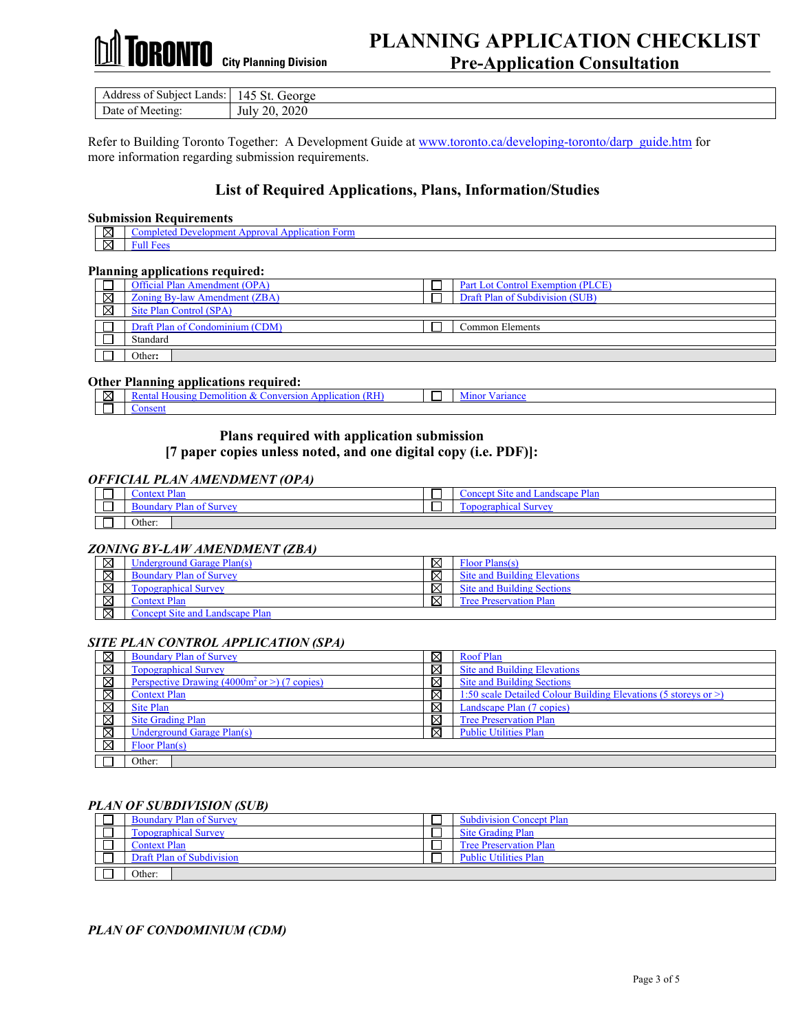## RONTO  **City Planning Division**

### **PLANNING APPLICATION CHECKLIST Pre-Application Consultation**

| . ∟ands: ⊤<br>Subject<br>Address of | George<br>14.<br>DU.       |
|-------------------------------------|----------------------------|
| Date<br>Meeting:<br>ΩŤ              | 2020<br>20<br>July<br>⇔ບ∠ບ |

Refer to Building Toronto Together: A Development Guide at [www.toronto.ca/developing-toronto/darp\\_guide.htm](http://www.toronto.ca/developing-toronto/darp_guide.htm) for more information regarding submission requirements.

#### **List of Required Applications, Plans, Information/Studies**

#### **Submission Requirements**

|  | $\boxtimes$   Completed Development Approval Application Form |
|--|---------------------------------------------------------------|
|  | $\boxtimes$ Full Fees                                         |

#### **Planning applications required:**

|             | rianning applications required:      |                                   |
|-------------|--------------------------------------|-----------------------------------|
|             | <b>Official Plan Amendment (OPA)</b> | Part Lot Control Exemption (PLCE) |
| $\boxtimes$ | Zoning By-law Amendment (ZBA)        | Draft Plan of Subdivision (SUB)   |
| ⊠           | Site Plan Control (SPA)              |                                   |
|             | Draft Plan of Condominium (CDM)      | Common Elements                   |
|             |                                      |                                   |
|             | Standard                             |                                   |
|             |                                      |                                   |
|             | Other:                               |                                   |
|             |                                      |                                   |

#### **Other Planning applications required:**

| ΙX                       | Demoliti<br>`ansıno_<br><i>Jersion</i><br>nlication<br>$. OnV^c$<br>π∩.<br>ោ<br>сени | variance<br>M <sub>1</sub> nor |
|--------------------------|--------------------------------------------------------------------------------------|--------------------------------|
| $\overline{\phantom{a}}$ | onsen                                                                                |                                |

#### **Plans required with application submission**

**[7 paper copies unless noted, and one digital copy (i.e. PDF)]:**

#### *OFFICIAL PLAN AMENDMENT (OPA)*

| –<br>_ | . Diar<br><b>FAST</b><br>۱n<br>r far                      | --<br>ー | _<br>-andecan<br>.<br>$\sim$ |
|--------|-----------------------------------------------------------|---------|------------------------------|
| _      | ndarv<br>$\sim$ + $\sim$ 1100 $\sim$<br>$\mathbf{u}$<br>י | _       | $\sim$<br>$\sim$             |
| –<br>_ | Other                                                     |         |                              |

#### *ZONING BY-LAW AMENDMENT (ZBA)*

| ⊠           | Underground Garage Plan(s)      | ⊠           | Floor Plans(s)                    |
|-------------|---------------------------------|-------------|-----------------------------------|
| ⊠           | <b>Boundary Plan of Survey</b>  | $\boxtimes$ | Site and Building Elevations      |
| $\boxtimes$ | <b>Topographical Survey</b>     | ⊠           | <b>Site and Building Sections</b> |
| $\boxtimes$ | Context Plan                    | ⊠           | <b>Tree Preservation Plan</b>     |
| $\boxtimes$ | Concept Site and Landscape Plan |             |                                   |

#### *SITE PLAN CONTROL APPLICATION (SPA)*

| ⊠ | <b>Boundary Plan of Survey</b>                                   | ⊠ | <b>Roof Plan</b>                                                      |
|---|------------------------------------------------------------------|---|-----------------------------------------------------------------------|
| ⊠ | <b>Topographical Survey</b>                                      | ⊠ | <b>Site and Building Elevations</b>                                   |
| ⊠ | Perspective Drawing $(4000 \text{m}^2 \text{ or } >)$ (7 copies) | ⊠ | <b>Site and Building Sections</b>                                     |
| ⊠ | <b>Context Plan</b>                                              | ⊠ | 1:50 scale Detailed Colour Building Elevations (5 storeys or $\geq$ ) |
| ⊠ | Site Plan                                                        | ⊠ | Landscape Plan (7 copies)                                             |
| ⊠ | <b>Site Grading Plan</b>                                         | ⊠ | <b>Tree Preservation Plan</b>                                         |
| ⊠ | Underground Garage Plan(s)                                       | ⊠ | <b>Public Utilities Plan</b>                                          |
| ⊠ | Floor Plan(s)                                                    |   |                                                                       |
|   | Other:                                                           |   |                                                                       |

#### *PLAN OF SUBDIVISION (SUB)*

| <b>Boundary Plan of Survey</b> | <b>Subdivision Concept Plan</b> |
|--------------------------------|---------------------------------|
| <b>Topographical Survey</b>    | <b>Site Grading Plan</b>        |
| <b>Context Plan</b>            | <b>Tree Preservation Plan</b>   |
| Draft Plan of Subdivision      | <b>Public Utilities Plan</b>    |
| Other:                         |                                 |

#### *PLAN OF CONDOMINIUM (CDM)*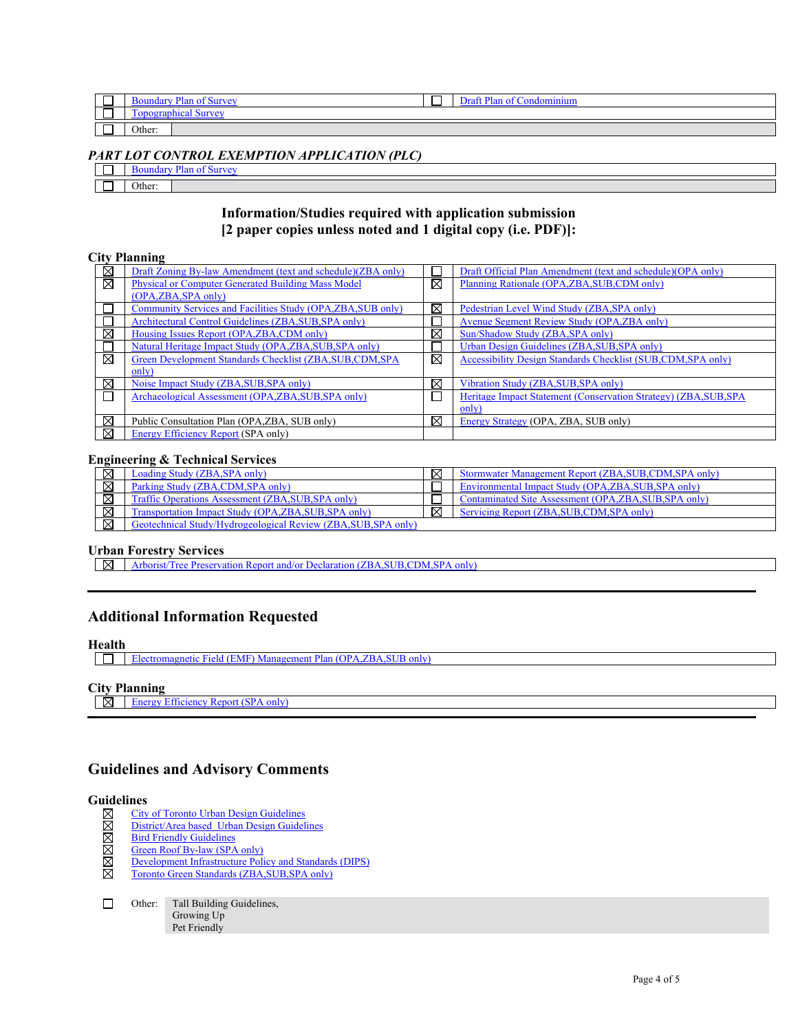| __ | $\mathbf{r}$ $\mathbf{r}$ | _ | . .<br>nn.<br>d∩n<br>$\cdots$ |
|----|---------------------------|---|-------------------------------|
|    | اممنه<br>—                |   |                               |
| __ | Other:                    |   |                               |

#### *PART LOT CONTROL EXEMPTION APPLICATION (PLC)*

| 'Α₹<br>. slift"<br>. |
|----------------------|
|                      |
| Other:               |

#### **Information/Studies required with application submission [2 paper copies unless noted and 1 digital copy (i.e. PDF)]:**

#### **City Planning**

| ⊠ | Draft Zoning By-law Amendment (text and schedule)(ZBA only)  |   | Draft Official Plan Amendment (text and schedule) (OPA only)     |
|---|--------------------------------------------------------------|---|------------------------------------------------------------------|
| ⊠ | <b>Physical or Computer Generated Building Mass Model</b>    | ⊠ | Planning Rationale (OPA, ZBA, SUB, CDM only)                     |
|   | (OPA, ZBA, SPA only)                                         |   |                                                                  |
|   | Community Services and Facilities Study (OPA, ZBA, SUB only) | ⊠ | Pedestrian Level Wind Study (ZBA, SPA only)                      |
|   | Architectural Control Guidelines (ZBA, SUB, SPA only)        |   | Avenue Segment Review Study (OPA, ZBA only)                      |
| ⊠ | Housing Issues Report (OPA, ZBA, CDM only)                   | ⊠ | Sun/Shadow Study (ZBA, SPA only)                                 |
|   | Natural Heritage Impact Study (OPA, ZBA, SUB, SPA only)      |   | Urban Design Guidelines (ZBA, SUB, SPA only)                     |
| ⊠ | Green Development Standards Checklist (ZBA, SUB, CDM, SPA    | ⊠ | Accessibility Design Standards Checklist (SUB,CDM, SPA only)     |
|   | only)                                                        |   |                                                                  |
| ⊠ | Noise Impact Study (ZBA, SUB, SPA only)                      | ⊠ | Vibration Study (ZBA, SUB, SPA only)                             |
|   | Archaeological Assessment (OPA, ZBA, SUB, SPA only)          |   | Heritage Impact Statement (Conservation Strategy) (ZBA, SUB, SPA |
|   |                                                              |   | only)                                                            |
| ⊠ | Public Consultation Plan (OPA, ZBA, SUB only)                | ⊠ | Energy Strategy (OPA, ZBA, SUB only)                             |
| ⊠ | Energy Efficiency Report (SPA only)                          |   |                                                                  |

#### **Engineering & Technical Services**

|   | oading Study (ZBA, SPA only)                                              | ⊠ | Stormwater Management Report (ZBA, SUB, CDM, SPA only) |
|---|---------------------------------------------------------------------------|---|--------------------------------------------------------|
|   | Parking Study (ZBA,CDM, SPA only)                                         |   | Environmental Impact Study (OPA,ZBA,SUB,SPA only)      |
| ⊠ | Traffic Operations Assessment (ZBA, SUB, SPA only)                        |   | Contaminated Site Assessment (OPA,ZBA,SUB,SPA only)    |
| ⊠ | <b>Transportation Impact Study (OPA,ZBA,SUB,SPA only)</b>                 | ⊠ | Servicing Report (ZBA, SUB, CDM, SPA only)             |
| ⊠ | <b>Study/Hydrogeological Review (ZBA, SUB, SPA only)</b><br>Feotechnical: |   |                                                        |

#### **Urban Forestry Services**

Arborist/Tree Preservation Report and/or Declaration (ZBA, SUB, CDM, SPA only)

#### **Additional Information Requested**

#### **Health**

[Electromagnetic Field \(EMF\) Management Plan \(OPA,ZBA,SUB only\)](http://www.toronto.ca/developing-toronto/pdf/emf.pdf)

#### **City Planning**

 $\overline{\boxtimes}$  [Energy Efficiency Report \(SPA only\)](http://www.toronto.ca/developing-toronto/pdf/energy.pdf)

#### **Guidelines and Advisory Comments**

# Guidelines<br>  $\boxtimes$  City<br>  $\boxtimes$  Dist<br>  $\boxtimes$  Bird<br>  $\boxtimes$  Bev<br>  $\boxtimes$  Dev<br>
Torc

- [City of Toronto Urban Design Guidelines](http://www.toronto.ca/planning/studies.htm#guidelines)
- [District/Area based Urban Design Guidelines](http://www.toronto.ca/planning/urbdesign/tableofcontents.htm)
- **[Bird Friendly Guidelines](http://www.toronto.ca/lightsout/guidelines.htm)**
- [Green Roof By-law \(SPA only\)](http://www.toronto.ca/greenroofs/overview.htm) [Development Infrastructure Policy and Standards \(DIPS\)](http://www.toronto.ca/wes/techservices/involved/transportation/future_streets/index.htm)
- [Toronto Green Standards \(ZBA,SUB,SPA only\)](http://www.toronto.ca/planning/environment/greendevelopment.htm#standards)
- $\Box$ Other: Tall Building Guidelines, Growing Up

Pet Friendly